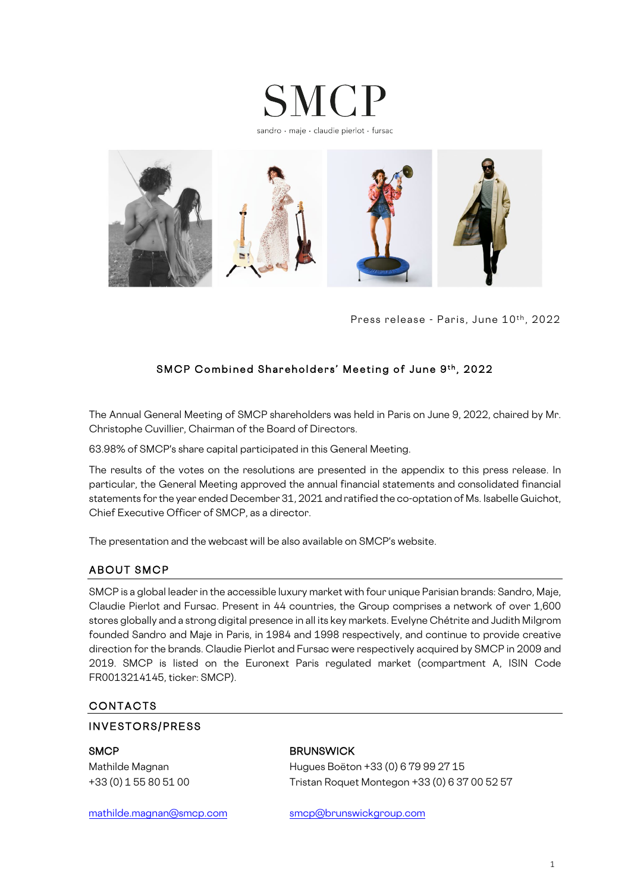

sandro · maje · claudie pierlot · fursac



Press release - Paris, June 10<sup>th</sup>, 2022

# SMCP Combined Shareholders' Meeting of June 9th, 2022

The Annual General Meeting of SMCP shareholders was held in Paris on June 9, 2022, chaired by Mr. Christophe Cuvillier, Chairman of the Board of Directors.

63.98% of SMCP's share capital participated in this General Meeting.

The results of the votes on the resolutions are presented in the appendix to this press release. In particular, the General Meeting approved the annual financial statements and consolidated financial statements for the year ended December 31, 2021 and ratified the co-optation of Ms. Isabelle Guichot, Chief Executive Officer of SMCP, as a director.

The presentation and the webcast will be also available on SMCP's website.

## ABOUT SMCP

SMCP is a global leader in the accessible luxury market with four unique Parisian brands: Sandro, Maje, Claudie Pierlot and Fursac. Present in 44 countries, the Group comprises a network of over 1,600 stores globally and a strong digital presence in all its key markets. Evelyne Chétrite and Judith Milgrom founded Sandro and Maje in Paris, in 1984 and 1998 respectively, and continue to provide creative direction for the brands. Claudie Pierlot and Fursac were respectively acquired by SMCP in 2009 and 2019. SMCP is listed on the Euronext Paris regulated market (compartment A, ISIN Code FR0013214145, ticker: SMCP).

## CONTACTS

### INVESTORS/PRESS

### SMCP BRUNSWICK

Mathilde Magnan Hugues Boëton +33 (0) 6 79 99 27 15 +33 (0) 1 55 80 51 00 Tristan Roquet Montegon +33 (0) 6 37 00 52 57

[mathilde.magnan@smcp.com](mailto:mathilde.magnan@smcp.com) [smcp@brunswickgroup.com](mailto:smcp@brunswickgroup.com)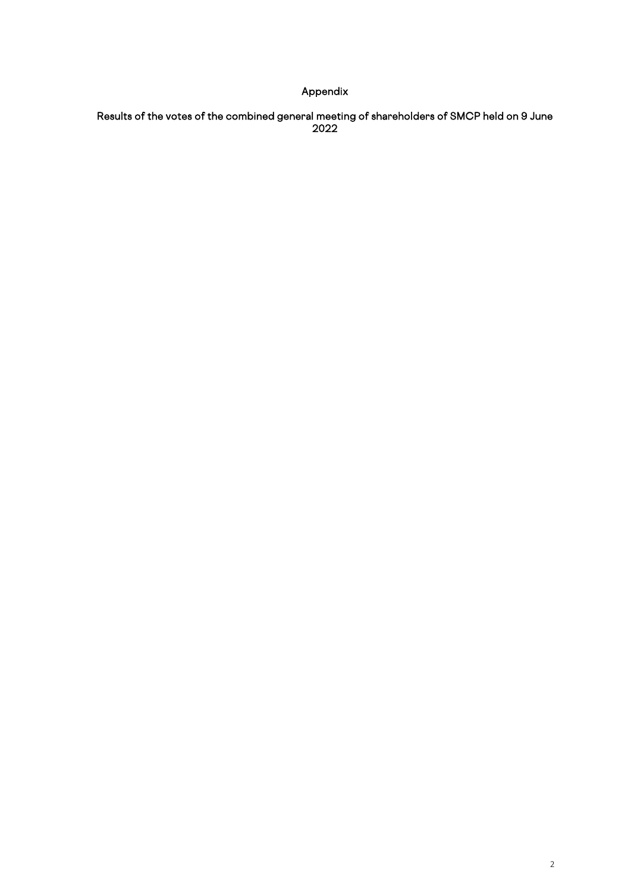# Appendix

### Results of the votes of the combined general meeting of shareholders of SMCP held on 9 June 2022